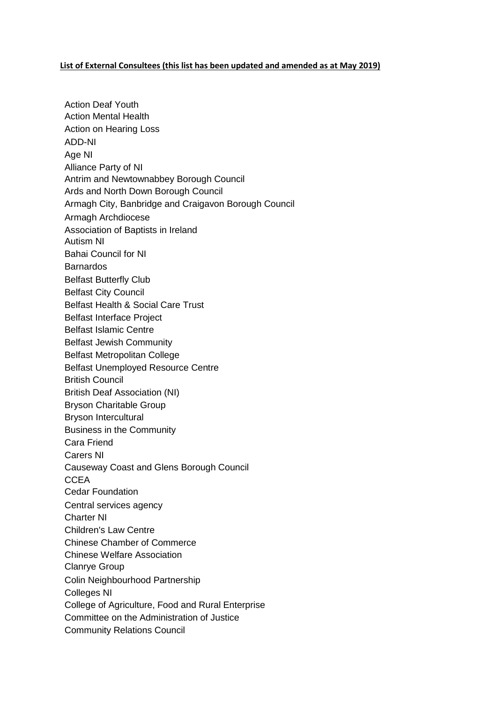## **List of External Consultees (this list has been updated and amended as at May 2019)**

Action Deaf Youth Action Mental Health Action on Hearing Loss ADD-NI Age NI Alliance Party of NI Antrim and [Newtownabbey Borough Council](mailto:info@antrimandnewtownabbey.gov.uk) [Ards and North Down Borough Council](mailto:enquiries@ardsandnorthdown.gov.uk)  Armagh City, Banbridge and Craigavon Borough Council Armagh Archdiocese Association of Baptists in Ireland Autism NI Bahai Council for NI Barnardos Belfast Butterfly Club Belfast City Council Belfast Health & Social Care Trust Belfast Interface Project Belfast Islamic Centre Belfast Jewish Community Belfast Metropolitan College Belfast Unemployed Resource Centre British Council British Deaf Association (NI) Bryson Charitable Group Bryson Intercultural Business in the Community Cara Friend Carers NI Causeway Coast and Glens Borough Council **CCEA** Cedar Foundation Central services agency Charter NI Children's Law Centre Chinese Chamber of Commerce Chinese Welfare Association Clanrye Group Colin Neighbourhood Partnership Colleges NI College of Agriculture, Food and Rural Enterprise Committee on the Administration of Justice Community Relations Council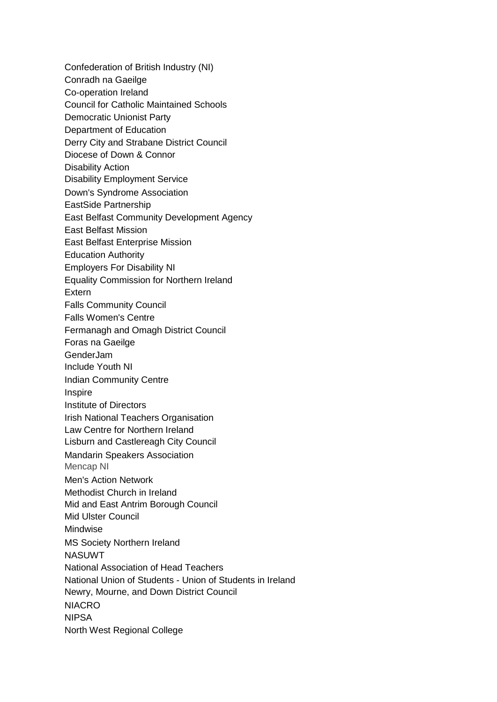Confederation of British Industry (NI) Conradh na Gaeilge Co-operation Ireland Council for Catholic Maintained Schools Democratic Unionist Party Department of Education Derry City and Strabane District Council Diocese of Down & Connor Disability Action Disability Employment Service Down's Syndrome Association EastSide Partnership East Belfast Community Development Agency East Belfast Mission East Belfast Enterprise Mission Education Authority Employers For Disability NI Equality Commission for Northern Ireland Extern Falls Community Council Falls Women's Centre Fermanagh and Omagh District Council Foras na Gaeilge GenderJam Include Youth NI Indian Community Centre Inspire Institute of Directors Irish National Teachers Organisation Law Centre for Northern Ireland Lisburn and Castlereagh City Council Mandarin Speakers Association Mencap NI Men's Action Network Methodist Church in Ireland [Mid and East Antrim Borough Council](mailto:enquiries@midandeastantrim.gov.uk)  Mid Ulster Council Mindwise MS Society Northern Ireland NASUWT National Association of Head Teachers National Union of Students - Union of Students in Ireland Newry, Mourne, and Down District Council NIACRO NIPSA North West Regional College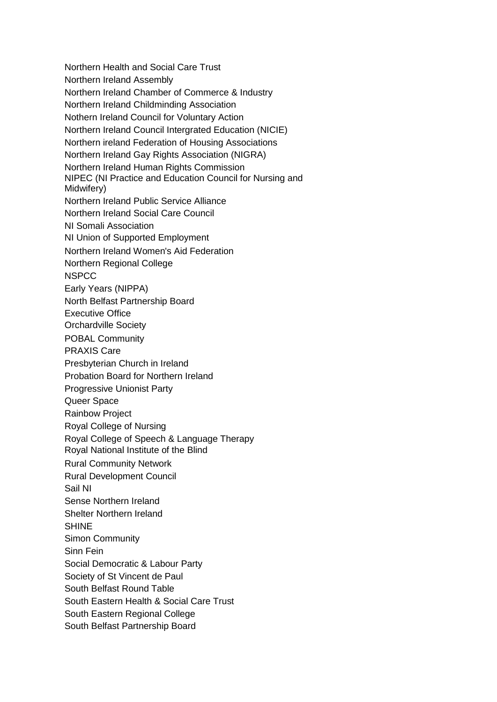Northern Health and Social Care Trust Northern Ireland Assembly Northern Ireland Chamber of Commerce & Industry Northern Ireland Childminding Association Nothern Ireland Council for Voluntary Action Northern Ireland Council Intergrated Education (NICIE) Northern ireland Federation of Housing Associations Northern Ireland Gay Rights Association (NIGRA) Northern Ireland Human Rights Commission NIPEC (NI Practice and Education Council for Nursing and Midwifery) Northern Ireland Public Service Alliance Northern Ireland Social Care Council NI Somali Association NI Union of Supported Employment Northern Ireland Women's Aid Federation Northern Regional College NSPCC Early Years (NIPPA) North Belfast Partnership Board Executive Office Orchardville Society POBAL Community PRAXIS Care Presbyterian Church in Ireland Probation Board for Northern Ireland Progressive Unionist Party Queer Space Rainbow Project Royal College of Nursing Royal College of Speech & Language Therapy Royal National Institute of the Blind Rural Community Network Rural Development Council Sail NI Sense Northern Ireland Shelter Northern Ireland **SHINE** Simon Community Sinn Fein Social Democratic & Labour Party Society of St Vincent de Paul South Belfast Round Table South Eastern Health & Social Care Trust South Eastern Regional College South Belfast Partnership Board